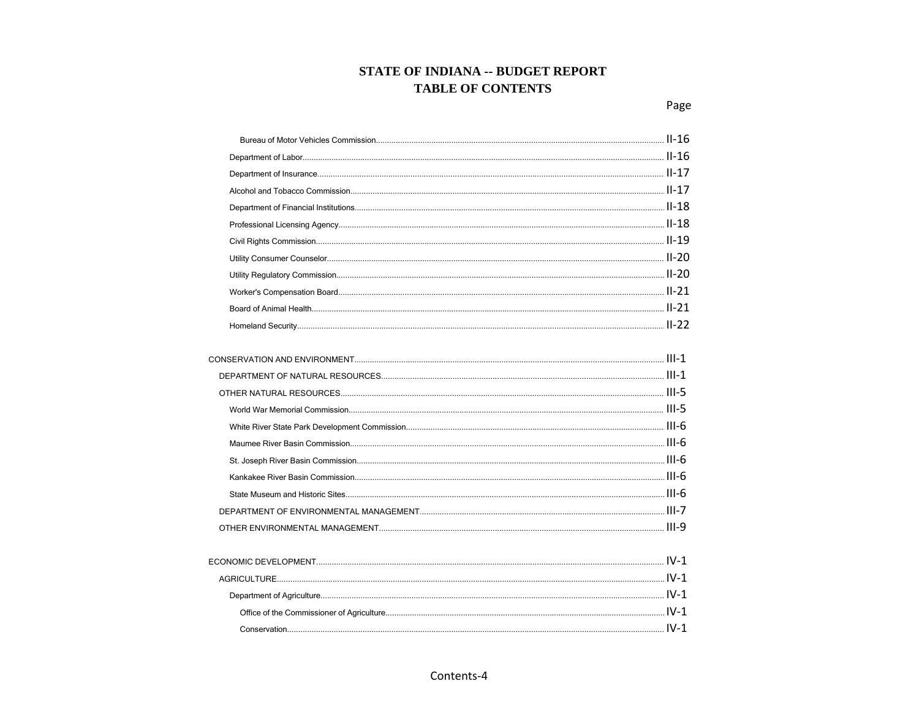| $\textbf{Department of Labor.} \textcolor{red}{\textbf{Department of Labor.} } \textcolor{red}{\textbf{I1-16}} \textcolor{red}{\textbf{I2-16}} \textcolor{red}{\textbf{I3-16}} \textcolor{red}{\textbf{I4-16}} \textcolor{red}{\textbf{I4-16}} \textcolor{red}{\textbf{I5-16}} \textcolor{red}{\textbf{I6-16}} \textcolor{red}{\textbf{I6-16}} \textcolor{red}{\textbf{I6-16}} \textcolor{red}{\textbf{I6-16}} \textcolor{red}{\textbf{I6-16}} \textcolor{red}{\textbf{I7-16}} \$ |       |
|-----------------------------------------------------------------------------------------------------------------------------------------------------------------------------------------------------------------------------------------------------------------------------------------------------------------------------------------------------------------------------------------------------------------------------------------------------------------------------------|-------|
|                                                                                                                                                                                                                                                                                                                                                                                                                                                                                   |       |
|                                                                                                                                                                                                                                                                                                                                                                                                                                                                                   |       |
|                                                                                                                                                                                                                                                                                                                                                                                                                                                                                   |       |
|                                                                                                                                                                                                                                                                                                                                                                                                                                                                                   |       |
|                                                                                                                                                                                                                                                                                                                                                                                                                                                                                   |       |
|                                                                                                                                                                                                                                                                                                                                                                                                                                                                                   |       |
|                                                                                                                                                                                                                                                                                                                                                                                                                                                                                   |       |
|                                                                                                                                                                                                                                                                                                                                                                                                                                                                                   |       |
|                                                                                                                                                                                                                                                                                                                                                                                                                                                                                   |       |
|                                                                                                                                                                                                                                                                                                                                                                                                                                                                                   |       |
|                                                                                                                                                                                                                                                                                                                                                                                                                                                                                   |       |
|                                                                                                                                                                                                                                                                                                                                                                                                                                                                                   |       |
|                                                                                                                                                                                                                                                                                                                                                                                                                                                                                   | 111.4 |